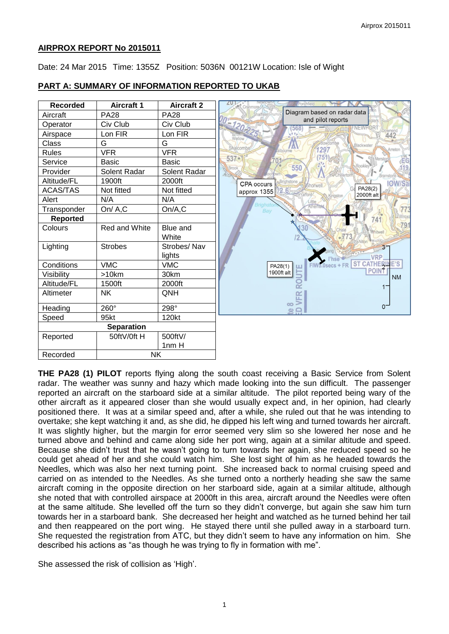## **AIRPROX REPORT No 2015011**

Date: 24 Mar 2015 Time: 1355Z Position: 5036N 00121W Location: Isle of Wight

# **PART A: SUMMARY OF INFORMATION REPORTED TO UKAB**



**THE PA28 (1) PILOT** reports flying along the south coast receiving a Basic Service from Solent radar. The weather was sunny and hazy which made looking into the sun difficult. The passenger reported an aircraft on the starboard side at a similar altitude. The pilot reported being wary of the other aircraft as it appeared closer than she would usually expect and, in her opinion, had clearly positioned there. It was at a similar speed and, after a while, she ruled out that he was intending to overtake; she kept watching it and, as she did, he dipped his left wing and turned towards her aircraft. It was slightly higher, but the margin for error seemed very slim so she lowered her nose and he turned above and behind and came along side her port wing, again at a similar altitude and speed. Because she didn't trust that he wasn't going to turn towards her again, she reduced speed so he could get ahead of her and she could watch him. She lost sight of him as he headed towards the Needles, which was also her next turning point. She increased back to normal cruising speed and carried on as intended to the Needles. As she turned onto a northerly heading she saw the same aircraft coming in the opposite direction on her starboard side, again at a similar altitude, although she noted that with controlled airspace at 2000ft in this area, aircraft around the Needles were often at the same altitude. She levelled off the turn so they didn't converge, but again she saw him turn towards her in a starboard bank. She decreased her height and watched as he turned behind her tail and then reappeared on the port wing. He stayed there until she pulled away in a starboard turn. She requested the registration from ATC, but they didn't seem to have any information on him. She described his actions as "as though he was trying to fly in formation with me".

She assessed the risk of collision as 'High'.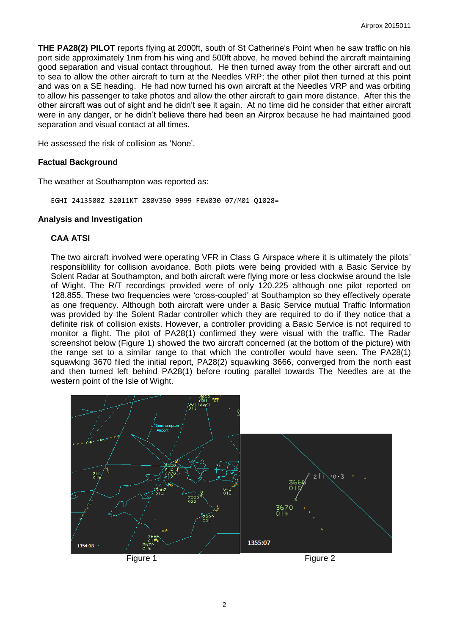**THE PA28(2) PILOT** reports flying at 2000ft, south of St Catherine's Point when he saw traffic on his port side approximately 1nm from his wing and 500ft above, he moved behind the aircraft maintaining good separation and visual contact throughout. He then turned away from the other aircraft and out to sea to allow the other aircraft to turn at the Needles VRP; the other pilot then turned at this point and was on a SE heading. He had now turned his own aircraft at the Needles VRP and was orbiting to allow his passenger to take photos and allow the other aircraft to gain more distance. After this the other aircraft was out of sight and he didn't see it again. At no time did he consider that either aircraft were in any danger, or he didn't believe there had been an Airprox because he had maintained good separation and visual contact at all times.

He assessed the risk of collision as 'None'.

## **Factual Background**

The weather at Southampton was reported as:

EGHI 2413500Z 32011KT 280V350 9999 FEW030 07/M01 Q1028=

#### **Analysis and Investigation**

## **CAA ATSI**

The two aircraft involved were operating VFR in Class G Airspace where it is ultimately the pilots' responsiblility for collision avoidance. Both pilots were being provided with a Basic Service by Solent Radar at Southampton, and both aircraft were flying more or less clockwise around the Isle of Wight. The R/T recordings provided were of only 120.225 although one pilot reported on 128.855. These two frequencies were 'cross-coupled' at Southampton so they effectively operate as one frequency. Although both aircraft were under a Basic Service mutual Traffic Information was provided by the Solent Radar controller which they are required to do if they notice that a definite risk of collision exists. However, a controller providing a Basic Service is not required to monitor a flight. The pilot of PA28(1) confirmed they were visual with the traffic. The Radar screenshot below (Figure 1) showed the two aircraft concerned (at the bottom of the picture) with the range set to a similar range to that which the controller would have seen. The PA28(1) squawking 3670 filed the initial report, PA28(2) squawking 3666, converged from the north east and then turned left behind PA28(1) before routing parallel towards The Needles are at the western point of the Isle of Wight.

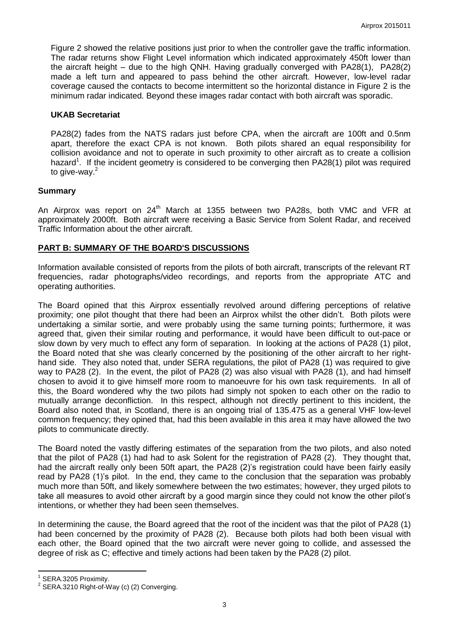Figure 2 showed the relative positions just prior to when the controller gave the traffic information. The radar returns show Flight Level information which indicated approximately 450ft lower than the aircraft height – due to the high QNH. Having gradually converged with PA28(1), PA28(2) made a left turn and appeared to pass behind the other aircraft. However, low-level radar coverage caused the contacts to become intermittent so the horizontal distance in Figure 2 is the minimum radar indicated. Beyond these images radar contact with both aircraft was sporadic.

## **UKAB Secretariat**

PA28(2) fades from the NATS radars just before CPA, when the aircraft are 100ft and 0.5nm apart, therefore the exact CPA is not known. Both pilots shared an equal responsibility for collision avoidance and not to operate in such proximity to other aircraft as to create a collision hazard<sup>1</sup>. If the incident geometry is considered to be converging then PA28(1) pilot was required to give-way.<sup>2</sup>

## **Summary**

An Airprox was report on 24<sup>th</sup> March at 1355 between two PA28s, both VMC and VFR at approximately 2000ft. Both aircraft were receiving a Basic Service from Solent Radar, and received Traffic Information about the other aircraft.

# **PART B: SUMMARY OF THE BOARD'S DISCUSSIONS**

Information available consisted of reports from the pilots of both aircraft, transcripts of the relevant RT frequencies, radar photographs/video recordings, and reports from the appropriate ATC and operating authorities.

The Board opined that this Airprox essentially revolved around differing perceptions of relative proximity; one pilot thought that there had been an Airprox whilst the other didn't. Both pilots were undertaking a similar sortie, and were probably using the same turning points; furthermore, it was agreed that, given their similar routing and performance, it would have been difficult to out-pace or slow down by very much to effect any form of separation. In looking at the actions of PA28 (1) pilot, the Board noted that she was clearly concerned by the positioning of the other aircraft to her righthand side. They also noted that, under SERA regulations, the pilot of PA28 (1) was required to give way to PA28 (2). In the event, the pilot of PA28 (2) was also visual with PA28 (1), and had himself chosen to avoid it to give himself more room to manoeuvre for his own task requirements. In all of this, the Board wondered why the two pilots had simply not spoken to each other on the radio to mutually arrange deconfliction. In this respect, although not directly pertinent to this incident, the Board also noted that, in Scotland, there is an ongoing trial of 135.475 as a general VHF low-level common frequency; they opined that, had this been available in this area it may have allowed the two pilots to communicate directly.

The Board noted the vastly differing estimates of the separation from the two pilots, and also noted that the pilot of PA28 (1) had had to ask Solent for the registration of PA28 (2). They thought that, had the aircraft really only been 50ft apart, the PA28 (2)'s registration could have been fairly easily read by PA28 (1)'s pilot. In the end, they came to the conclusion that the separation was probably much more than 50ft, and likely somewhere between the two estimates; however, they urged pilots to take all measures to avoid other aircraft by a good margin since they could not know the other pilot's intentions, or whether they had been seen themselves.

In determining the cause, the Board agreed that the root of the incident was that the pilot of PA28 (1) had been concerned by the proximity of PA28 (2). Because both pilots had both been visual with each other, the Board opined that the two aircraft were never going to collide, and assessed the degree of risk as C; effective and timely actions had been taken by the PA28 (2) pilot.

 $\overline{\phantom{a}}$ 

 $1$  SERA.3205 Proximity.

 $2$  SERA.3210 Right-of-Way (c) (2) Converging.